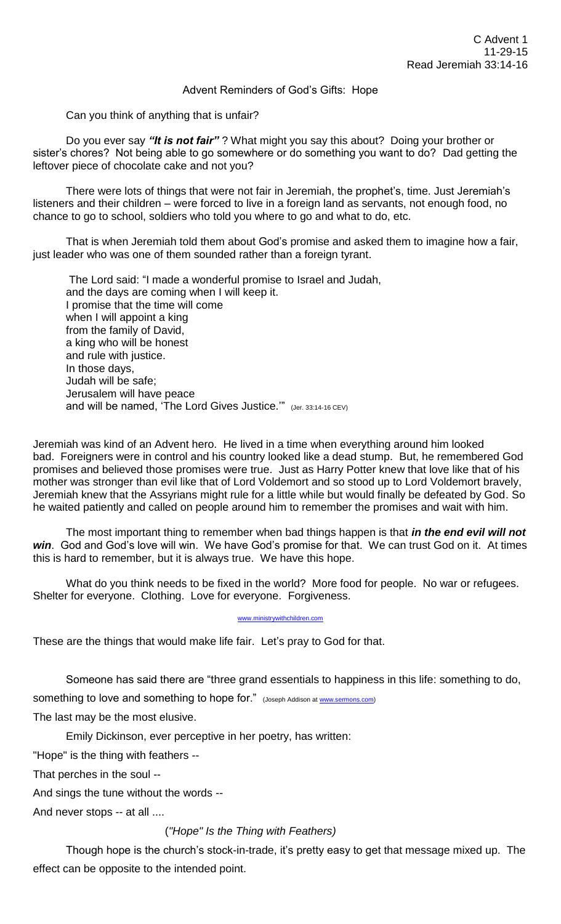## Advent Reminders of God's Gifts: Hope

Can you think of anything that is unfair?

Do you ever say *"It is not fair"* ? What might you say this about? Doing your brother or sister's chores? Not being able to go somewhere or do something you want to do? Dad getting the leftover piece of chocolate cake and not you?

There were lots of things that were not fair in Jeremiah, the prophet's, time. Just Jeremiah's listeners and their children – were forced to live in a foreign land as servants, not enough food, no chance to go to school, soldiers who told you where to go and what to do, etc.

That is when Jeremiah told them about God's promise and asked them to imagine how a fair, just leader who was one of them sounded rather than a foreign tyrant.

The Lord said: "I made a wonderful promise to Israel and Judah, and the days are coming when I will keep it. I promise that the time will come when I will appoint a king from the family of David, a king who will be honest and rule with justice. In those days, Judah will be safe; Jerusalem will have peace and will be named, 'The Lord Gives Justice.'" (Jer. 33:14-16 CEV)

Jeremiah was kind of an Advent hero. He lived in a time when everything around him looked bad. Foreigners were in control and his country looked like a dead stump. But, he remembered God promises and believed those promises were true. Just as Harry Potter knew that love like that of his mother was stronger than evil like that of Lord Voldemort and so stood up to Lord Voldemort bravely, Jeremiah knew that the Assyrians might rule for a little while but would finally be defeated by God. So he waited patiently and called on people around him to remember the promises and wait with him.

The most important thing to remember when bad things happen is that *in the end evil will not win*. God and God's love will win. We have God's promise for that. We can trust God on it. At times this is hard to remember, but it is always true. We have this hope.

What do you think needs to be fixed in the world? More food for people. No war or refugees. Shelter for everyone. Clothing. Love for everyone. Forgiveness.

[www.ministrywithchildren.com](http://www.ministrywithchildren.com/)

These are the things that would make life fair. Let's pray to God for that.

Someone has said there are "three grand essentials to happiness in this life: something to do, something to love and something to hope for." (Joseph Addison a[t www.sermons.com\)](http://www.sermons.com/) The last may be the most elusive.

Emily Dickinson, ever perceptive in her poetry, has written:

"Hope" is the thing with feathers --

That perches in the soul --

And sings the tune without the words --

And never stops -- at all ....

## (*"Hope" Is the Thing with Feathers)*

Though hope is the church's stock-in-trade, it's pretty easy to get that message mixed up. The effect can be opposite to the intended point.